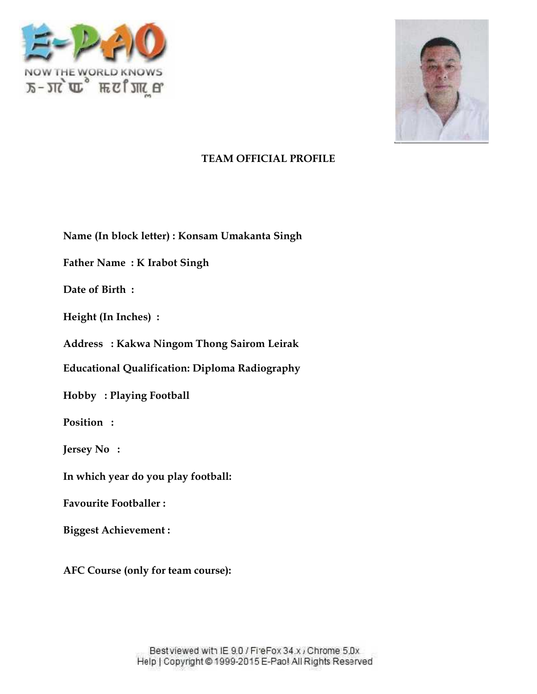



**Name (In block letter) : Konsam Umakanta Singh**

**Father Name : K Irabot Singh**

**Date of Birth :**

**Height (In Inches) :**

**Address : Kakwa Ningom Thong Sairom Leirak**

**Educational Qualification: Diploma Radiography** Name : K Irabot Singh<br><sup>:</sup> Birth :<br>(In Inches) :<br>ss : Kakwa Ningom Thong Sairom Leirak<br>ional Qualification: Diploma Radiography

**Hobby : Playing Football**

**Position :**

**Jersey No :**

**In which year do you play football:** Playing Football<br>:<br><br>year do you play football:<br>Footballer :<br>chievement :<br>:se (only for team course):

**Favourite Footballer :**

**Biggest Achievement :**

**AFC Course (only for team course):**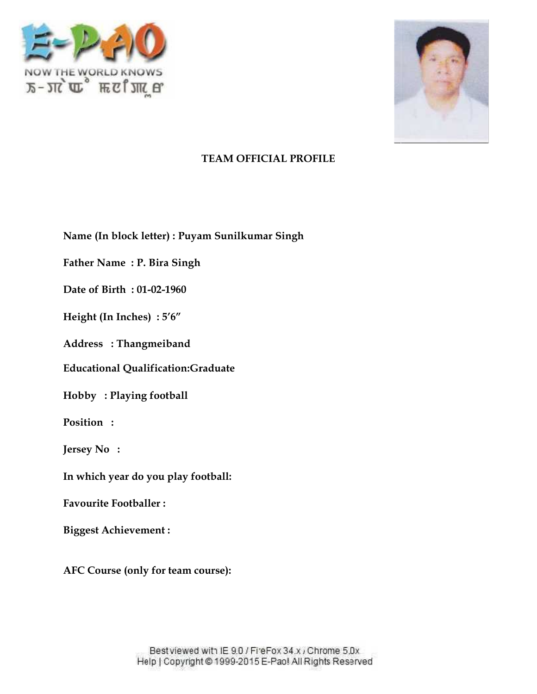



**Name (In block letter) : Puyam Sunilkumar Singh**

Father Name : P. Bira Singh<br>Date of Birth : 01-02-1960 **Date of Birth : 01-02-1960**

 $\textbf{Height (In Inches)}:5'6''$ 

**Address : Thangmeiband**

**Educational Qualification:Graduate**

**Hobby : Playing football**

**Position :**

**Jersey No :**

**In which year do you play football:** Playing football<br>:<br><br>year do you play football:<br>Footballer :<br>chievement :<br>:se (only for team course):

**Favourite Footballer :**

**Biggest Achievement :**

**AFC Course (only for team course):**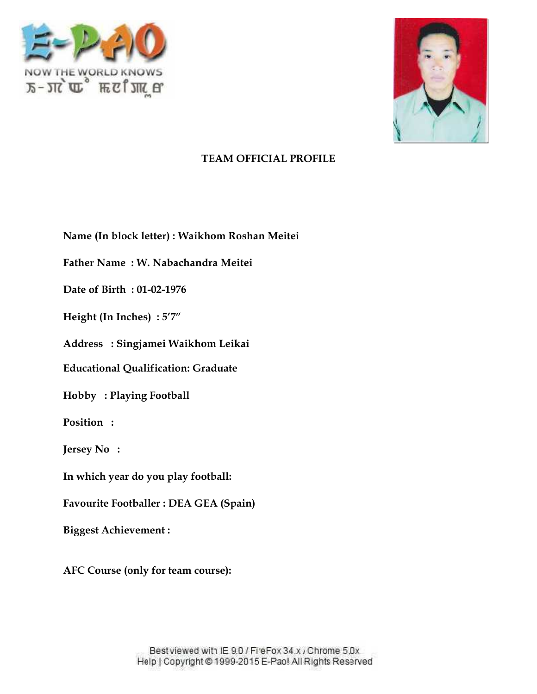



Name (In block letter) : Waikhom Roshan Meitei<br>Father Name : W. Nabachandra Meitei<br>Date of Birth : 01-02-1976

**Father Name : W. Nabachandra Meitei**

**Date of Birth : 01-02-1976**

 $\textbf{Height (In Inches)}:5'7''$ 

**Address : Singjamei Waikhom Leikai**

Address : Singjamei Waikhom Leikai<br>Educational Qualification: Graduate

**Hobby : Playing Football Playing** 

**Position :**

**Jersey No :**

**In which year do you play football:**

**Favourite Footballer : DEA GEA (Spain)**

**Biggest Achievement :**

**AFC Course (only for team course): team**